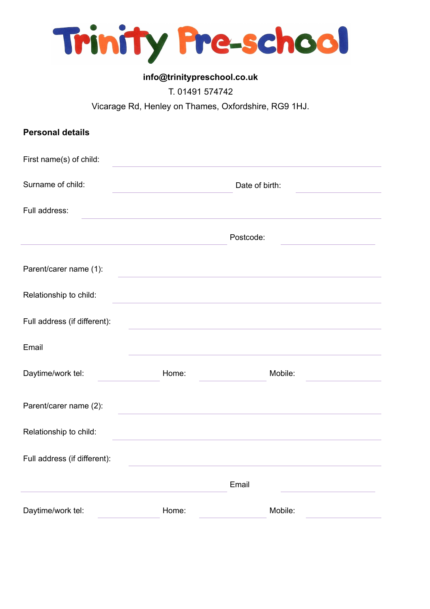

## **info@trinitypreschool.co.uk**

## T. 01491 574742

Vicarage Rd, Henley on Thames, Oxfordshire, RG9 1HJ.

| <b>Personal details</b>      |       |                |  |
|------------------------------|-------|----------------|--|
| First name(s) of child:      |       |                |  |
| Surname of child:            |       | Date of birth: |  |
| Full address:                |       |                |  |
|                              |       | Postcode:      |  |
| Parent/carer name (1):       |       |                |  |
| Relationship to child:       |       |                |  |
| Full address (if different): |       |                |  |
| Email                        |       |                |  |
| Daytime/work tel:            | Home: | Mobile:        |  |
| Parent/carer name (2):       |       |                |  |
| Relationship to child:       |       |                |  |
| Full address (if different): |       |                |  |
|                              |       | Email          |  |
| Daytime/work tel:            | Home: | Mobile:        |  |